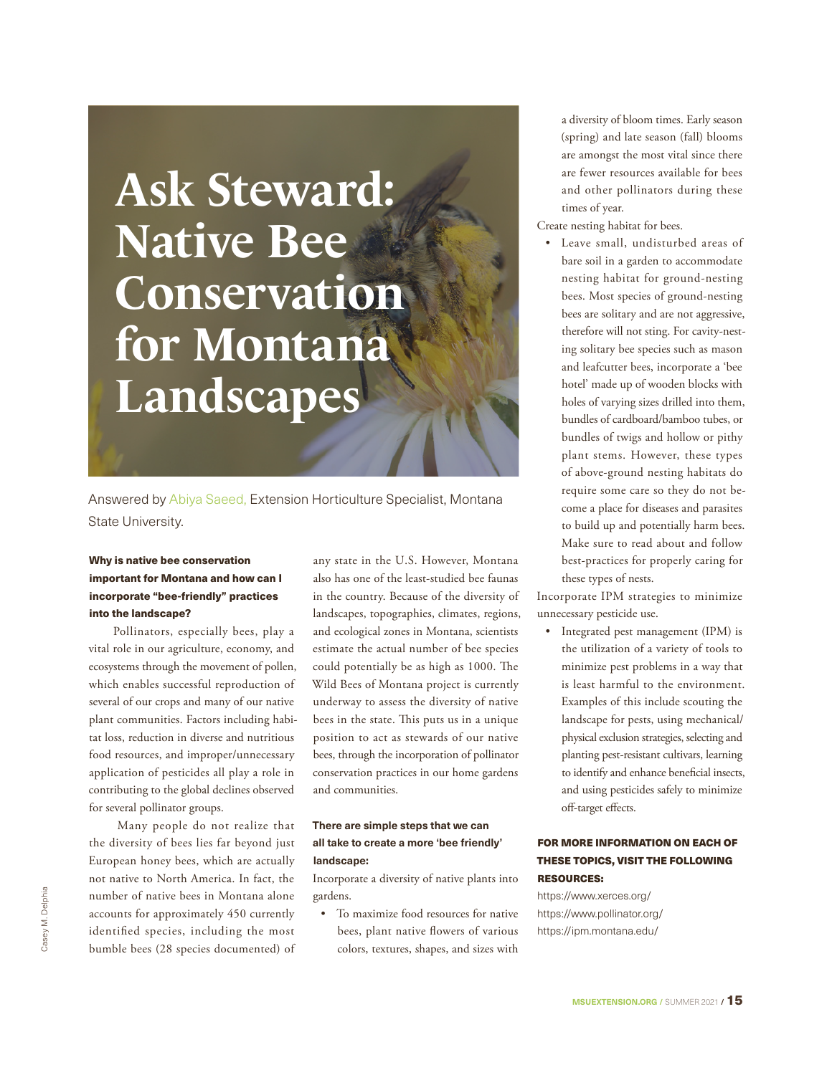## **Ask Steward: Native Bee Conservation for Montana Landscapes**

Answered by Abiya Saeed, Extension Horticulture Specialist, Montana State University.

## Why is native bee conservation important for Montana and how can I incorporate "bee-friendly" practices into the landscape?

Pollinators, especially bees, play a vital role in our agriculture, economy, and ecosystems through the movement of pollen, which enables successful reproduction of several of our crops and many of our native plant communities. Factors including habitat loss, reduction in diverse and nutritious food resources, and improper/unnecessary application of pesticides all play a role in contributing to the global declines observed for several pollinator groups.

 Many people do not realize that the diversity of bees lies far beyond just European honey bees, which are actually not native to North America. In fact, the number of native bees in Montana alone accounts for approximately 450 currently identified species, including the most bumble bees (28 species documented) of

any state in the U.S. However, Montana also has one of the least-studied bee faunas in the country. Because of the diversity of landscapes, topographies, climates, regions, and ecological zones in Montana, scientists estimate the actual number of bee species could potentially be as high as 1000. The Wild Bees of Montana project is currently underway to assess the diversity of native bees in the state. This puts us in a unique position to act as stewards of our native bees, through the incorporation of pollinator conservation practices in our home gardens and communities.

## **There are simple steps that we can all take to create a more 'bee friendly' landscape:**

Incorporate a diversity of native plants into gardens.

• To maximize food resources for native bees, plant native flowers of various colors, textures, shapes, and sizes with

a diversity of bloom times. Early season (spring) and late season (fall) blooms are amongst the most vital since there are fewer resources available for bees and other pollinators during these times of year.

Create nesting habitat for bees.

Leave small, undisturbed areas of bare soil in a garden to accommodate nesting habitat for ground-nesting bees. Most species of ground-nesting bees are solitary and are not aggressive, therefore will not sting. For cavity-nesting solitary bee species such as mason and leafcutter bees, incorporate a 'bee hotel' made up of wooden blocks with holes of varying sizes drilled into them, bundles of cardboard/bamboo tubes, or bundles of twigs and hollow or pithy plant stems. However, these types of above-ground nesting habitats do require some care so they do not become a place for diseases and parasites to build up and potentially harm bees. Make sure to read about and follow best-practices for properly caring for these types of nests.

Incorporate IPM strategies to minimize unnecessary pesticide use.

• Integrated pest management (IPM) is the utilization of a variety of tools to minimize pest problems in a way that is least harmful to the environment. Examples of this include scouting the landscape for pests, using mechanical/ physical exclusion strategies, selecting and planting pest-resistant cultivars, learning to identify and enhance beneficial insects, and using pesticides safely to minimize off-target effects.

## FOR MORE INFORMATION ON EACH OF THESE TOPICS, VISIT THE FOLLOWING RESOURCES:

https://www.xerces.org/ https://www.pollinator.org/ https://ipm.montana.edu/